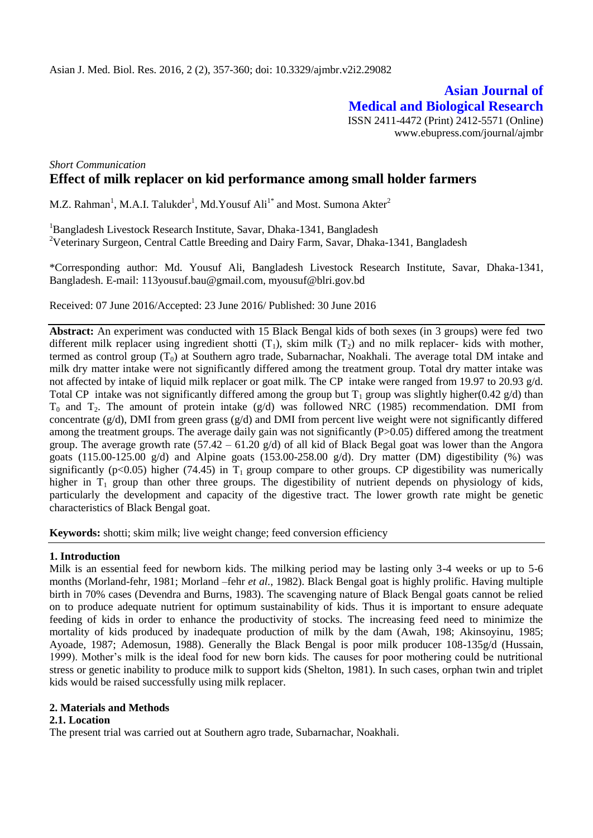**Asian Journal of Medical and Biological Research** ISSN 2411-4472 (Print) 2412-5571 (Online) www.ebupress.com/journal/ajmbr

# *Short Communication* **Effect of milk replacer on kid performance among small holder farmers**

M.Z. Rahman<sup>1</sup>, M.A.I. Talukder<sup>1</sup>, Md.Yousuf Ali<sup>1\*</sup> and Most. Sumona Akter<sup>2</sup>

<sup>1</sup>Bangladesh Livestock Research Institute, Savar, Dhaka-1341, Bangladesh <sup>2</sup>Veterinary Surgeon, Central Cattle Breeding and Dairy Farm, Savar, Dhaka-1341, Bangladesh

\*Corresponding author: Md. Yousuf Ali, Bangladesh Livestock Research Institute, Savar, Dhaka-1341, Bangladesh. E-mail: [113yousuf.bau@gmail.com,](mailto:113yousuf.bau@gmail.com) myousuf@blri.gov.bd

Received: 07 June 2016/Accepted: 23 June 2016/ Published: 30 June 2016

**Abstract:** An experiment was conducted with 15 Black Bengal kids of both sexes (in 3 groups) were fed two different milk replacer using ingredient shotti  $(T_1)$ , skim milk  $(T_2)$  and no milk replacer- kids with mother, termed as control group  $(T_0)$  at Southern agro trade, Subarnachar, Noakhali. The average total DM intake and milk dry matter intake were not significantly differed among the treatment group. Total dry matter intake was not affected by intake of liquid milk replacer or goat milk. The CP intake were ranged from 19.97 to 20.93 g/d. Total CP intake was not significantly differed among the group but  $T_1$  group was slightly higher(0.42 g/d) than  $T_0$  and  $T_2$ . The amount of protein intake (g/d) was followed NRC (1985) recommendation. DMI from concentrate  $(g/d)$ , DMI from green grass  $(g/d)$  and DMI from percent live weight were not significantly differed among the treatment groups. The average daily gain was not significantly (P>0.05) differed among the treatment group. The average growth rate  $(57.42 - 61.20 \text{ g/d})$  of all kid of Black Begal goat was lower than the Angora goats  $(115.00-125.00 \text{ g/d})$  and Alpine goats  $(153.00-258.00 \text{ g/d})$ . Dry matter (DM) digestibility (%) was significantly ( $p<0.05$ ) higher (74.45) in T<sub>1</sub> group compare to other groups. CP digestibility was numerically higher in  $T_1$  group than other three groups. The digestibility of nutrient depends on physiology of kids, particularly the development and capacity of the digestive tract. The lower growth rate might be genetic characteristics of Black Bengal goat.

**Keywords:** shotti; skim milk; live weight change; feed conversion efficiency

#### **1. Introduction**

Milk is an essential feed for newborn kids. The milking period may be lasting only 3-4 weeks or up to 5-6 months (Morland-fehr, 1981; Morland –fehr *et al.*, 1982). Black Bengal goat is highly prolific. Having multiple birth in 70% cases (Devendra and Burns, 1983). The scavenging nature of Black Bengal goats cannot be relied on to produce adequate nutrient for optimum sustainability of kids. Thus it is important to ensure adequate feeding of kids in order to enhance the productivity of stocks. The increasing feed need to minimize the mortality of kids produced by inadequate production of milk by the dam (Awah, 198; Akinsoyinu, 1985; Ayoade, 1987; Ademosun, 1988). Generally the Black Bengal is poor milk producer 108-135g/d (Hussain, 1999). Mother's milk is the ideal food for new born kids. The causes for poor mothering could be nutritional stress or genetic inability to produce milk to support kids (Shelton, 1981). In such cases, orphan twin and triplet kids would be raised successfully using milk replacer.

### **2. Materials and Methods**

### **2.1. Location**

The present trial was carried out at Southern agro trade, Subarnachar, Noakhali.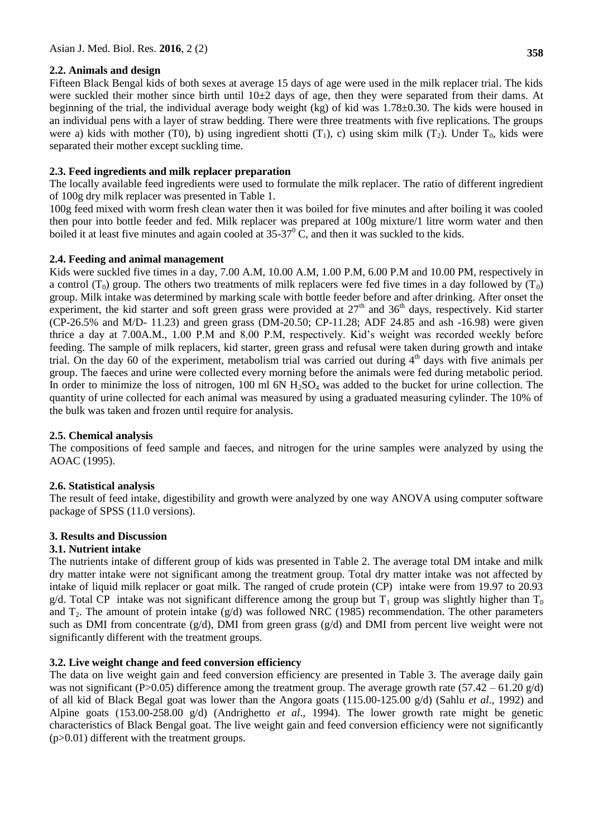## **2.2. Animals and design**

Fifteen Black Bengal kids of both sexes at average 15 days of age were used in the milk replacer trial. The kids were suckled their mother since birth until  $10\pm 2$  days of age, then they were separated from their dams. At beginning of the trial, the individual average body weight (kg) of kid was 1.78±0.30. The kids were housed in an individual pens with a layer of straw bedding. There were three treatments with five replications. The groups were a) kids with mother (T0), b) using ingredient shotti  $(T_1)$ , c) using skim milk  $(T_2)$ . Under  $T_0$ , kids were separated their mother except suckling time.

## **2.3. Feed ingredients and milk replacer preparation**

The locally available feed ingredients were used to formulate the milk replacer. The ratio of different ingredient of 100g dry milk replacer was presented in Table 1.

100g feed mixed with worm fresh clean water then it was boiled for five minutes and after boiling it was cooled then pour into bottle feeder and fed. Milk replacer was prepared at 100g mixture/1 litre worm water and then boiled it at least five minutes and again cooled at  $35-37^\circ$  C, and then it was suckled to the kids.

## **2.4. Feeding and animal management**

Kids were suckled five times in a day, 7.00 A.M, 10.00 A.M, 1.00 P.M, 6.00 P.M and 10.00 PM, respectively in a control  $(T_0)$  group. The others two treatments of milk replacers were fed five times in a day followed by  $(T_0)$ group. Milk intake was determined by marking scale with bottle feeder before and after drinking. After onset the experiment, the kid starter and soft green grass were provided at  $27<sup>th</sup>$  and  $36<sup>th</sup>$  days, respectively. Kid starter (CP-26.5% and M/D- 11.23) and green grass (DM-20.50; CP-11.28; ADF 24.85 and ash -16.98) were given thrice a day at 7.00A.M., 1.00 P.M and 8.00 P.M, respectively. Kid's weight was recorded weekly before feeding. The sample of milk replacers, kid starter, green grass and refusal were taken during growth and intake trial. On the day 60 of the experiment, metabolism trial was carried out during  $4<sup>th</sup>$  days with five animals per group. The faeces and urine were collected every morning before the animals were fed during metabolic period. In order to minimize the loss of nitrogen, 100 ml 6N  $H_2SO_4$  was added to the bucket for urine collection. The quantity of urine collected for each animal was measured by using a graduated measuring cylinder. The 10% of the bulk was taken and frozen until require for analysis.

### **2.5. Chemical analysis**

The compositions of feed sample and faeces, and nitrogen for the urine samples were analyzed by using the AOAC (1995).

### **2.6. Statistical analysis**

The result of feed intake, digestibility and growth were analyzed by one way ANOVA using computer software package of SPSS (11.0 versions).

### **3. Results and Discussion**

### **3.1. Nutrient intake**

The nutrients intake of different group of kids was presented in Table 2. The average total DM intake and milk dry matter intake were not significant among the treatment group. Total dry matter intake was not affected by intake of liquid milk replacer or goat milk. The ranged of crude protein (CP) intake were from 19.97 to 20.93 g/d. Total CP intake was not significant difference among the group but  $T_1$  group was slightly higher than  $T_0$ and  $T_2$ . The amount of protein intake (g/d) was followed NRC (1985) recommendation. The other parameters such as DMI from concentrate  $(g/d)$ , DMI from green grass  $(g/d)$  and DMI from percent live weight were not significantly different with the treatment groups.

# **3.2. Live weight change and feed conversion efficiency**

The data on live weight gain and feed conversion efficiency are presented in Table 3. The average daily gain was not significant (P>0.05) difference among the treatment group. The average growth rate (57.42 – 61.20  $g/d$ ) of all kid of Black Begal goat was lower than the Angora goats (115.00-125.00 g/d) (Sahlu *et al*., 1992) and Alpine goats (153.00-258.00 g/d) (Andrighetto *et al*., 1994). The lower growth rate might be genetic characteristics of Black Bengal goat. The live weight gain and feed conversion efficiency were not significantly (p>0.01) different with the treatment groups.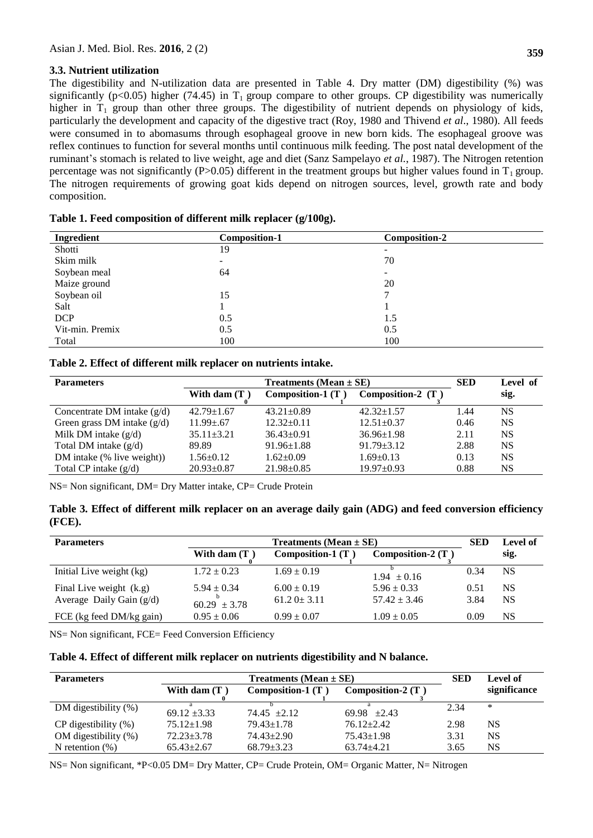### **3.3. Nutrient utilization**

The digestibility and N-utilization data are presented in Table 4. Dry matter (DM) digestibility (%) was significantly ( $p<0.05$ ) higher (74.45) in T<sub>1</sub> group compare to other groups. CP digestibility was numerically higher in  $T_1$  group than other three groups. The digestibility of nutrient depends on physiology of kids, particularly the development and capacity of the digestive tract (Roy, 1980 and Thivend *et al*., 1980). All feeds were consumed in to abomasums through esophageal groove in new born kids. The esophageal groove was reflex continues to function for several months until continuous milk feeding. The post natal development of the ruminant's stomach is related to live weight, age and diet (Sanz Sampelayo *et al.*, 1987). The Nitrogen retention percentage was not significantly (P>0.05) different in the treatment groups but higher values found in  $T_1$  group. The nitrogen requirements of growing goat kids depend on nitrogen sources, level, growth rate and body composition.

| Ingredient      | <b>Composition-1</b> | <b>Composition-2</b> |
|-----------------|----------------------|----------------------|
| Shotti          | 19                   |                      |
| Skim milk       | -                    | 70                   |
| Soybean meal    | 64                   | -                    |
| Maize ground    |                      | 20                   |
| Soybean oil     | 15                   |                      |
| Salt            |                      |                      |
| <b>DCP</b>      | 0.5                  | 1.5                  |
| Vit-min. Premix | 0.5                  | 0.5                  |
| Total           | 100                  | 100                  |

|  |  |  | Table 1. Feed composition of different milk replacer (g/100g). |  |  |  |
|--|--|--|----------------------------------------------------------------|--|--|--|
|  |  |  |                                                                |  |  |  |

|  |  |  |  |  | Table 2. Effect of different milk replacer on nutrients intake. |  |  |
|--|--|--|--|--|-----------------------------------------------------------------|--|--|
|--|--|--|--|--|-----------------------------------------------------------------|--|--|

| <b>Parameters</b>             |                  | <b>SED</b>               | Level of            |      |           |
|-------------------------------|------------------|--------------------------|---------------------|------|-----------|
|                               | With dam $(T)$   | <b>Composition-1 (T)</b> | Composition-2 $(T)$ |      | sig.      |
| Concentrate DM intake $(g/d)$ | $42.79 \pm 1.67$ | $43.21 \pm 0.89$         | $42.32 \pm 1.57$    | 1.44 | NS        |
| Green grass DM intake $(g/d)$ | $11.99 \pm .67$  | $12.32 \pm 0.11$         | $12.51 \pm 0.37$    | 0.46 | <b>NS</b> |
| Milk DM intake $(g/d)$        | $35.11 \pm 3.21$ | $36.43 \pm 0.91$         | $36.96 \pm 1.98$    | 2.11 | <b>NS</b> |
| Total DM intake $(g/d)$       | 89.89            | $91.96 \pm 1.88$         | $91.79 \pm 3.12$    | 2.88 | <b>NS</b> |
| DM intake (% live weight))    | $1.56 \pm 0.12$  | $1.62+0.09$              | $1.69 \pm 0.13$     | 0.13 | <b>NS</b> |
| Total CP intake $(g/d)$       | $20.93 \pm 0.87$ | $21.98 \pm 0.85$         | $19.97 \pm 0.93$    | 0.88 | <b>NS</b> |

NS= Non significant, DM= Dry Matter intake, CP= Crude Protein

**Table 3. Effect of different milk replacer on an average daily gain (ADG) and feed conversion efficiency (FCE).**

| <b>Parameters</b>          | <b>Treatments</b> (Mean $\pm$ SE) |                          |                     |      | Level of |
|----------------------------|-----------------------------------|--------------------------|---------------------|------|----------|
|                            | With dam $(T)$                    | <b>Composition-1 (T)</b> | Composition-2 $(T)$ |      | sig.     |
| Initial Live weight (kg)   | $1.72 \pm 0.23$                   | $1.69 \pm 0.19$          | $1.94 \pm 0.16$     | 0.34 | NS       |
| Final Live weight (k.g)    | $5.94 \pm 0.34$                   | $6.00 \pm 0.19$          | $5.96 \pm 0.33$     | 0.51 | NS       |
| Average Daily Gain $(g/d)$ | $60.29 \pm 3.78$                  | $61.2$ $0 \pm 3.11$      | $57.42 \pm 3.46$    | 3.84 | NS       |
| FCE (kg feed DM/kg gain)   | $0.95 \pm 0.06$                   | $0.99 \pm 0.07$          | $1.09 \pm 0.05$     | 0.09 | NS       |

NS= Non significant, FCE= Feed Conversion Efficiency

| <b>Parameters</b>         |                  | <b>SED</b>          | Level of            |      |              |
|---------------------------|------------------|---------------------|---------------------|------|--------------|
|                           | With dam $(T)$   | Composition-1 $(T)$ | Composition-2 $(T)$ |      | significance |
| DM digestibility $(\%)$   | $69.12 \pm 3.33$ | $74.45 \pm 2.12$    | 69.98 $\pm 2.43$    | 2.34 | ∗            |
| $CP$ digestibility $(\%)$ | $75.12 \pm 1.98$ | $79.43 \pm 1.78$    | $76.12 \pm 2.42$    | 2.98 | NS           |
| OM digestibility (%)      | $72.23 \pm 3.78$ | $74.43 \pm 2.90$    | $75.43 \pm 1.98$    | 3.31 | NS           |
| N retention $(\%)$        | $65.43 \pm 2.67$ | $68.79 \pm 3.23$    | $63.74 + 4.21$      | 3.65 | NS           |

NS= Non significant, \*P<0.05 DM= Dry Matter, CP= Crude Protein, OM= Organic Matter, N= Nitrogen